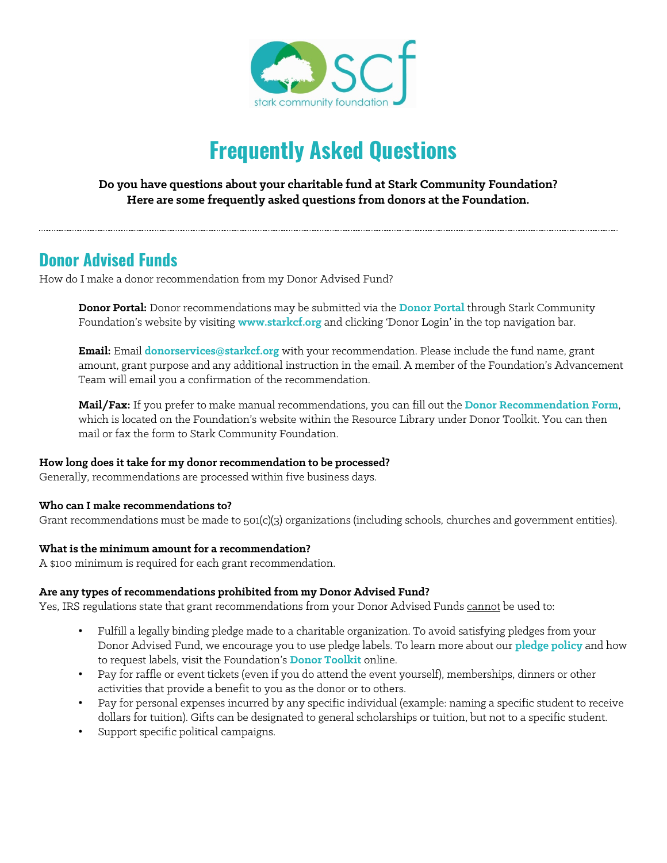

# **Frequently Asked Questions**

### **Do you have questions about your charitable fund at Stark Community Foundation? Here are some frequently asked questions from donors at the Foundation.**

# **Donor Advised Funds**

How do I make a donor recommendation from my Donor Advised Fund?

**Donor Portal:** Donor recommendations may be submitted via the **[Donor Portal](https://scf.fcsuite.com/erp/fundmanager)** through Stark Community Foundation's website by visiting **[www.starkcf.org](http://www.starkcf.org/)** and clicking 'Donor Login' in the top navigation bar.

**Email:** Email **[donorservices@starkcf.org](mailto:donorservices@starkcf.org)** with your recommendation. Please include the fund name, grant amount, grant purpose and any additional instruction in the email. A member of the Foundation's Advancement Team will email you a confirmation of the recommendation.

**Mail/Fax:** If you prefer to make manual recommendations, you can fill out the **Donor [Recommendation Form](http://www.starkcf.org/files/resources/donorrecommendationfillableform.pdf)**, which is located on the Foundation's website within the Resource Library under Donor Toolkit. You can then mail or fax the form to Stark Community Foundation.

### **How long does it take for my donor recommendation to be processed?**

Generally, recommendations are processed within five business days.

### **Who can I make recommendations to?**

Grant recommendations must be made to 501(c)(3) organizations (including schools, churches and government entities).

### **What is the minimum amount for a recommendation?**

A \$100 minimum is required for each grant recommendation.

### **Are any types of recommendations prohibited from my Donor Advised Fund?**

Yes, IRS regulations state that grant recommendations from your Donor Advised Funds cannot be used to:

- Fulfill a legally binding pledge made to a charitable organization. To avoid satisfying pledges from your Donor Advised Fund, we encourage you to use pledge labels. To learn more about our **[pledge policy](http://www.starkcf.org/files/resources/dafpledgepolicy.pdf)** and how to request labels, visit the Foundation's **[Donor Toolkit](http://www.starkcf.org/donor-toolkit)** online.
- Pay for raffle or event tickets (even if you do attend the event yourself), memberships, dinners or other activities that provide a benefit to you as the donor or to others.
- Pay for personal expenses incurred by any specific individual (example: naming a specific student to receive dollars for tuition). Gifts can be designated to general scholarships or tuition, but not to a specific student.
- Support specific political campaigns.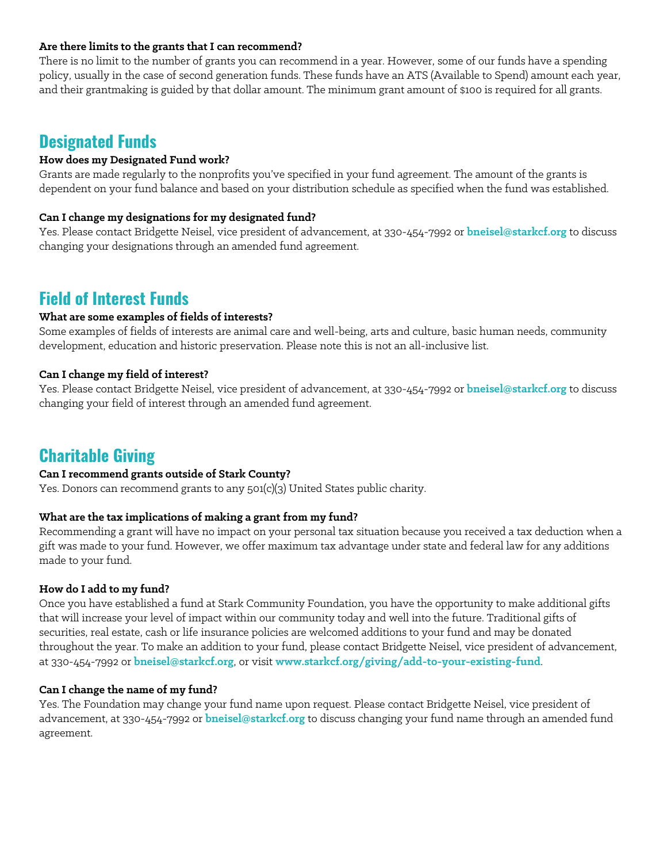### **Are there limits to the grants that I can recommend?**

There is no limit to the number of grants you can recommend in a year. However, some of our funds have a spending policy, usually in the case of second generation funds. These funds have an ATS (Available to Spend) amount each year, and their grantmaking is guided by that dollar amount. The minimum grant amount of \$100 is required for all grants.

### **Designated Funds**

### **How does my Designated Fund work?**

Grants are made regularly to the nonprofits you've specified in your fund agreement. The amount of the grants is dependent on your fund balance and based on your distribution schedule as specified when the fund was established.

### **Can I change my designations for my designated fund?**

Yes. Please contact Bridgette Neisel, vice president of advancement, at 330-454-7992 or **[bneisel@starkcf.org](mailto:bneisel@starkcf.org)** to discuss changing your designations through an amended fund agreement.

# **Field of Interest Funds**

### **What are some examples of fields of interests?**

Some examples of fields of interests are animal care and well-being, arts and culture, basic human needs, community development, education and historic preservation. Please note this is not an all-inclusive list.

### **Can I change my field of interest?**

Yes. Please contact Bridgette Neisel, vice president of advancement, at 330-454-7992 or **[bneisel@starkcf.org](mailto:bneisel@starkcf.org)** to discuss changing your field of interest through an amended fund agreement.

## **Charitable Giving**

### **Can I recommend grants outside of Stark County?**

Yes. Donors can recommend grants to any 501(c)(3) United States public charity.

#### **What are the tax implications of making a grant from my fund?**

Recommending a grant will have no impact on your personal tax situation because you received a tax deduction when a gift was made to your fund. However, we offer maximum tax advantage under state and federal law for any additions made to your fund.

#### **How do I add to my fund?**

Once you have established a fund at Stark Community Foundation, you have the opportunity to make additional gifts that will increase your level of impact within our community today and well into the future. Traditional gifts of securities, real estate, cash or life insurance policies are welcomed additions to your fund and may be donated throughout the year. To make an addition to your fund, please contact Bridgette Neisel, vice president of advancement, at 330-454-7992 or **[bneisel@starkcf.org](mailto:bneisel@starkcf.org)**, or visit **[www.starkcf.org/giving/add-to-your-existing-fund](http://www.starkcf.org/giving/add-to-your-existing-fund)**.

### **Can I change the name of my fund?**

Yes. The Foundation may change your fund name upon request. Please contact Bridgette Neisel, vice president of advancement, at 330-454-7992 or **[bneisel@starkcf.org](mailto:bneisel@starkcf.org)** to discuss changing your fund name through an amended fund agreement.